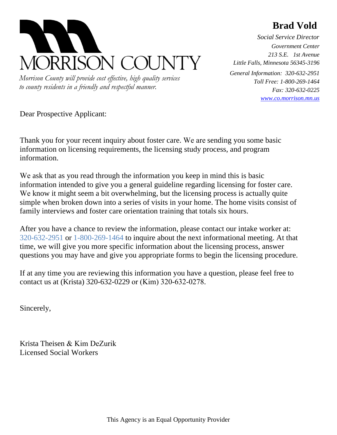

*Morrison County will provide cost effective, high quality services to county residents in a friendly and respectful manner.*

# **Brad Vold**

*Social Service Director Government Center 213 S.E. 1st Avenue Little Falls, Minnesota 56345-3196 General Information: 320-632-2951 Toll Free: 1-800-269-1464 Fax: 320-632-0225 [www.co.morrison.mn.us](http://www.co.morrison.mn.us/)*

Dear Prospective Applicant:

Thank you for your recent inquiry about foster care. We are sending you some basic information on licensing requirements, the licensing study process, and program information.

We ask that as you read through the information you keep in mind this is basic information intended to give you a general guideline regarding licensing for foster care. We know it might seem a bit overwhelming, but the licensing process is actually quite simple when broken down into a series of visits in your home. The home visits consist of family interviews and foster care orientation training that totals six hours.

After you have a chance to review the information, please contact our intake worker at: 320-632-2951 or 1-800-269-1464 to inquire about the next informational meeting. At that time, we will give you more specific information about the licensing process, answer questions you may have and give you appropriate forms to begin the licensing procedure.

If at any time you are reviewing this information you have a question, please feel free to contact us at (Krista) 320-632-0229 or (Kim) 320-632-0278.

Sincerely,

Krista Theisen & Kim DeZurik Licensed Social Workers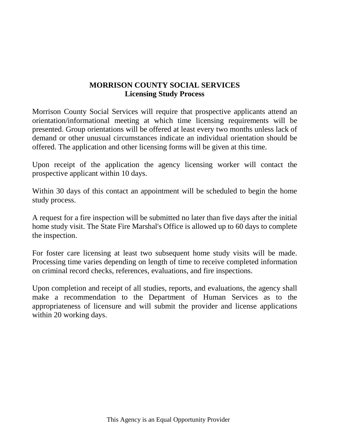## **MORRISON COUNTY SOCIAL SERVICES Licensing Study Process**

Morrison County Social Services will require that prospective applicants attend an orientation/informational meeting at which time licensing requirements will be presented. Group orientations will be offered at least every two months unless lack of demand or other unusual circumstances indicate an individual orientation should be offered. The application and other licensing forms will be given at this time.

Upon receipt of the application the agency licensing worker will contact the prospective applicant within 10 days.

Within 30 days of this contact an appointment will be scheduled to begin the home study process.

A request for a fire inspection will be submitted no later than five days after the initial home study visit. The State Fire Marshal's Office is allowed up to 60 days to complete the inspection.

For foster care licensing at least two subsequent home study visits will be made. Processing time varies depending on length of time to receive completed information on criminal record checks, references, evaluations, and fire inspections.

Upon completion and receipt of all studies, reports, and evaluations, the agency shall make a recommendation to the Department of Human Services as to the appropriateness of licensure and will submit the provider and license applications within 20 working days.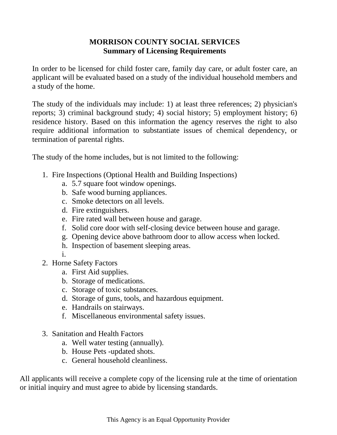# **MORRISON COUNTY SOCIAL SERVICES Summary of Licensing Requirements**

In order to be licensed for child foster care, family day care, or adult foster care, an applicant will be evaluated based on a study of the individual household members and a study of the home.

The study of the individuals may include: 1) at least three references; 2) physician's reports; 3) criminal background study; 4) social history; 5) employment history; 6) residence history. Based on this information the agency reserves the right to also require additional information to substantiate issues of chemical dependency, or termination of parental rights.

The study of the home includes, but is not limited to the following:

- 1. Fire Inspections (Optional Health and Building Inspections)
	- a. 5.7 square foot window openings.
	- b. Safe wood burning appliances.
	- c. Smoke detectors on all levels.
	- d. Fire extinguishers.
	- e. Fire rated wall between house and garage.
	- f. Solid core door with self-closing device between house and garage.
	- g. Opening device above bathroom door to allow access when locked.
	- h. Inspection of basement sleeping areas.
	- i.
- 2. Horne Safety Factors
	- a. First Aid supplies.
	- b. Storage of medications.
	- c. Storage of toxic substances.
	- d. Storage of guns, tools, and hazardous equipment.
	- e. Handrails on stairways.
	- f. Miscellaneous environmental safety issues.
- 3. Sanitation and Health Factors
	- a. Well water testing (annually).
	- b. House Pets -updated shots.
	- c. General household cleanliness.

All applicants will receive a complete copy of the licensing rule at the time of orientation or initial inquiry and must agree to abide by licensing standards.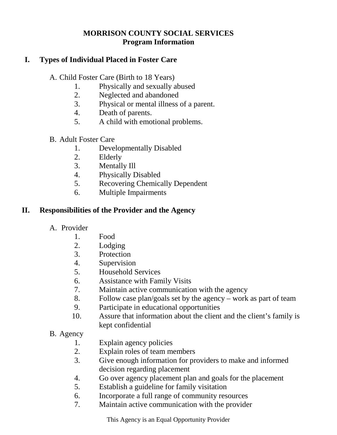# **MORRISON COUNTY SOCIAL SERVICES Program Information**

# **I. Types of Individual Placed in Foster Care**

A. Child Foster Care (Birth to 18 Years)

- 1. Physically and sexually abused
- 2. Neglected and abandoned
- 3. Physical or mental illness of a parent.
- 4. Death of parents.
- 5. A child with emotional problems.

## B. Adult Foster Care

- 1. Developmentally Disabled
- 2. Elderly
- 3. Mentally Ill
- 4. Physically Disabled
- 5. Recovering Chemically Dependent
- 6. Multiple Impairments

## **II. Responsibilities of the Provider and the Agency**

- A. Provider
	- 1. Food
	- 2. Lodging
	- 3. Protection
	- 4. Supervision
	- 5. Household Services
	- 6. Assistance with Family Visits
	- 7. Maintain active communication with the agency
	- 8. Follow case plan/goals set by the agency work as part of team
	- 9. Participate in educational opportunities
	- 10. Assure that information about the client and the client's family is kept confidential
- B. Agency
	- 1. Explain agency policies
	- 2. Explain roles of team members
	- 3. Give enough information for providers to make and informed decision regarding placement
	- 4. Go over agency placement plan and goals for the placement
	- 5. Establish a guideline for family visitation
	- 6. Incorporate a full range of community resources
	- 7. Maintain active communication with the provider

This Agency is an Equal Opportunity Provider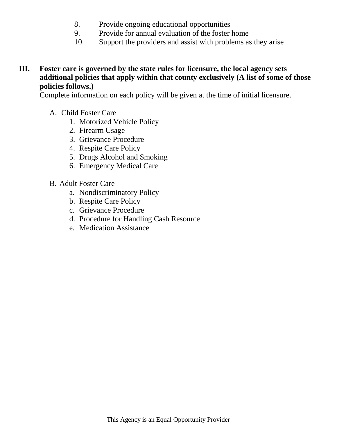- 8. Provide ongoing educational opportunities
- 9. Provide for annual evaluation of the foster home
- 10. Support the providers and assist with problems as they arise
- **III. Foster care is governed by the state rules for licensure, the local agency sets additional policies that apply within that county exclusively (A list of some of those policies follows.)**

Complete information on each policy will be given at the time of initial licensure.

- A. Child Foster Care
	- 1. Motorized Vehicle Policy
	- 2. Firearm Usage
	- 3. Grievance Procedure
	- 4. Respite Care Policy
	- 5. Drugs Alcohol and Smoking
	- 6. Emergency Medical Care
- B. Adult Foster Care
	- a. Nondiscriminatory Policy
	- b. Respite Care Policy
	- c. Grievance Procedure
	- d. Procedure for Handling Cash Resource
	- e. Medication Assistance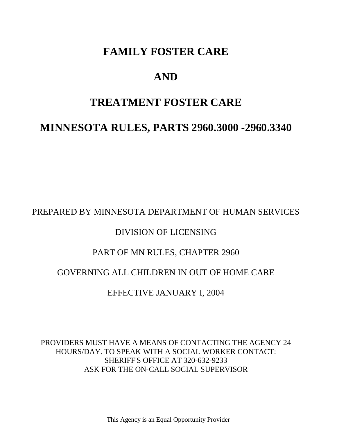# **FAMILY FOSTER CARE**

# **AND**

# **TREATMENT FOSTER CARE**

# **MINNESOTA RULES, PARTS 2960.3000 -2960.3340**

# PREPARED BY MINNESOTA DEPARTMENT OF HUMAN SERVICES

# DIVISION OF LICENSING

## PART OF MN RULES, CHAPTER 2960

# GOVERNING ALL CHILDREN IN OUT OF HOME CARE

EFFECTIVE JANUARY I, 2004

PROVIDERS MUST HAVE A MEANS OF CONTACTING THE AGENCY 24 HOURS/DAY. TO SPEAK WITH A SOCIAL WORKER CONTACT: SHERIFF'S OFFICE AT 320-632-9233 ASK FOR THE ON-CALL SOCIAL SUPERVISOR

This Agency is an Equal Opportunity Provider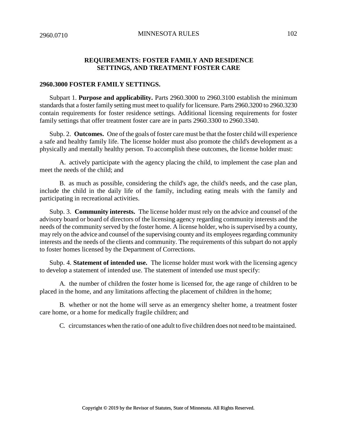### **REQUIREMENTS: FOSTER FAMILY AND RESIDENCE SETTINGS, AND TREATMENT FOSTER CARE**

#### **2960.3000 FOSTER FAMILY SETTINGS.**

Subpart 1. **Purpose and applicability.** Parts 2960.3000 to 2960.3100 establish the minimum standards that a foster family setting must meet to qualify for licensure. Parts 2960.3200 to 2960.3230 contain requirements for foster residence settings. Additional licensing requirements for foster family settings that offer treatment foster care are in parts 2960.3300 to 2960.3340.

Subp. 2. **Outcomes.** One of the goals of foster care must be that the foster child will experience a safe and healthy family life. The license holder must also promote the child's development as a physically and mentally healthy person. To accomplish these outcomes, the license holder must:

A. actively participate with the agency placing the child, to implement the case plan and meet the needs of the child; and

B. as much as possible, considering the child's age, the child's needs, and the case plan, include the child in the daily life of the family, including eating meals with the family and participating in recreational activities.

Subp. 3. **Community interests.** The license holder must rely on the advice and counsel of the advisory board or board of directors of the licensing agency regarding community interests and the needs of the community served by the foster home. A license holder, who is supervised by a county, may rely on the advice and counsel of the supervising county and its employees regarding community interests and the needs of the clients and community. The requirements of this subpart do not apply to foster homes licensed by the Department of Corrections.

Subp. 4. **Statement of intended use.** The license holder must work with the licensing agency to develop a statement of intended use. The statement of intended use must specify:

A. the number of children the foster home is licensed for, the age range of children to be placed in the home, and any limitations affecting the placement of children in the home;

B. whether or not the home will serve as an emergency shelter home, a treatment foster care home, or a home for medically fragile children; and

C. circumstances when the ratio of one adult to five children does not need to be maintained.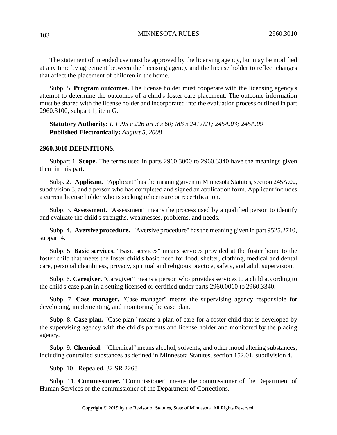The statement of intended use must be approved by the licensing agency, but may be modified at any time by agreement between the licensing agency and the license holder to reflect changes that affect the placement of children in the home.

Subp. 5. **Program outcomes.** The license holder must cooperate with the licensing agency's attempt to determine the outcomes of a child's foster care placement. The outcome information must be shared with the license holder and incorporated into the evaluation process outlined in part 2960.3100, subpart 1, item G.

**Statutory Authority:** *L 1995 c 226 art 3 s 60; MS s 241.021; 245A.03; 245A.09* **Published Electronically:** *August 5, 2008*

#### **2960.3010 DEFINITIONS.**

Subpart 1. **Scope.** The terms used in parts 2960.3000 to 2960.3340 have the meanings given them in this part.

Subp. 2. **Applicant.** "Applicant" has the meaning given in Minnesota Statutes, section 245A.02, subdivision 3, and a person who has completed and signed an application form. Applicant includes a current license holder who is seeking relicensure or recertification.

Subp. 3. **Assessment.** "Assessment" means the process used by a qualified person to identify and evaluate the child's strengths, weaknesses, problems, and needs.

Subp. 4. **Aversive procedure.** "Aversive procedure" hasthe meaning given in part 9525.2710, subpart 4.

Subp. 5. **Basic services.** "Basic services" means services provided at the foster home to the foster child that meets the foster child's basic need for food, shelter, clothing, medical and dental care, personal cleanliness, privacy, spiritual and religious practice, safety, and adult supervision.

Subp. 6. **Caregiver.** "Caregiver" means a person who provides services to a child according to the child's case plan in a setting licensed or certified under parts 2960.0010 to 2960.3340.

Subp. 7. **Case manager.** "Case manager" means the supervising agency responsible for developing, implementing, and monitoring the case plan.

Subp. 8. **Case plan.** "Case plan" means a plan of care for a foster child that is developed by the supervising agency with the child's parents and license holder and monitored by the placing agency.

Subp. 9. **Chemical.** "Chemical" means alcohol, solvents, and other mood altering substances, including controlled substances as defined in Minnesota Statutes, section 152.01, subdivision 4.

Subp. 10. [Repealed, 32 SR 2268]

Subp. 11. **Commissioner.** "Commissioner" means the commissioner of the Department of Human Services or the commissioner of the Department of Corrections.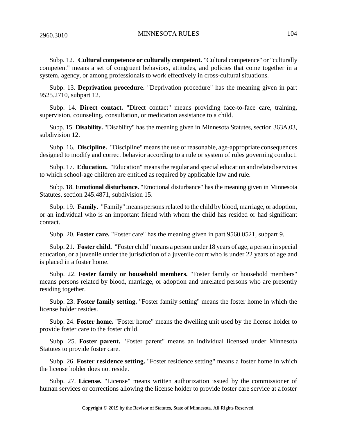2960.3010 MINNESOTA RULES 104

Subp. 12. **Cultural competence or culturally competent.** "Cultural competence" or "culturally competent" means a set of congruent behaviors, attitudes, and policies that come together in a system, agency, or among professionals to work effectively in cross-cultural situations.

Subp. 13. **Deprivation procedure.** "Deprivation procedure" has the meaning given in part 9525.2710, subpart 12.

Subp. 14. **Direct contact.** "Direct contact" means providing face-to-face care, training, supervision, counseling, consultation, or medication assistance to a child.

Subp. 15. **Disability.** "Disability" has the meaning given in Minnesota Statutes, section 363A.03, subdivision 12.

Subp. 16. **Discipline.** "Discipline" meansthe use of reasonable, age-appropriate consequences designed to modify and correct behavior according to a rule or system of rules governing conduct.

Subp. 17. **Education.** "Education" means the regular and special education and related services to which school-age children are entitled as required by applicable law and rule.

Subp. 18. **Emotional disturbance.** "Emotional disturbance" has the meaning given in Minnesota Statutes, section 245.4871, subdivision 15.

Subp. 19. **Family.** "Family" means personsrelated to the child by blood, marriage, or adoption, or an individual who is an important friend with whom the child has resided or had significant contact.

Subp. 20. **Foster care.** "Foster care" has the meaning given in part 9560.0521, subpart 9.

Subp. 21. **Foster child.** "Foster child"means a person under 18 years of age, a person in special education, or a juvenile under the jurisdiction of a juvenile court who is under 22 years of age and is placed in a foster home.

Subp. 22. **Foster family or household members.** "Foster family or household members" means persons related by blood, marriage, or adoption and unrelated persons who are presently residing together.

Subp. 23. **Foster family setting.** "Foster family setting" means the foster home in which the license holder resides.

Subp. 24. **Foster home.** "Foster home" means the dwelling unit used by the license holder to provide foster care to the foster child.

Subp. 25. **Foster parent.** "Foster parent" means an individual licensed under Minnesota Statutes to provide foster care.

Subp. 26. **Foster residence setting.** "Foster residence setting" means a foster home in which the license holder does not reside.

Subp. 27. **License.** "License" means written authorization issued by the commissioner of human services or corrections allowing the license holder to provide foster care service at a foster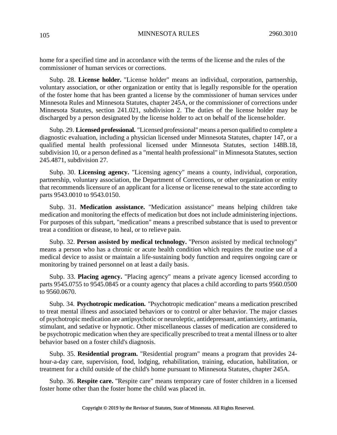home for a specified time and in accordance with the terms of the license and the rules of the commissioner of human services or corrections.

Subp. 28. **License holder.** "License holder" means an individual, corporation, partnership, voluntary association, or other organization or entity that is legally responsible for the operation of the foster home that has been granted a license by the commissioner of human services under Minnesota Rules and Minnesota Statutes, chapter 245A, or the commissioner of corrections under Minnesota Statutes, section 241.021, subdivision 2. The duties of the license holder may be discharged by a person designated by the license holder to act on behalf of the license holder.

Subp. 29. **Licensed professional.** "Licensed professional"means a person qualified to complete a diagnostic evaluation, including a physician licensed under Minnesota Statutes, chapter 147, or a qualified mental health professional licensed under Minnesota Statutes, section 148B.18, subdivision 10, or a person defined as a "mental health professional" in Minnesota Statutes, section 245.4871, subdivision 27.

Subp. 30. **Licensing agency.** "Licensing agency" means a county, individual, corporation, partnership, voluntary association, the Department of Corrections, or other organization or entity that recommends licensure of an applicant for a license or license renewal to the state according to parts 9543.0010 to 9543.0150.

Subp. 31. **Medication assistance.** "Medication assistance" means helping children take medication and monitoring the effects of medication but does not include administering injections. For purposes of this subpart, "medication" means a prescribed substance that is used to prevent or treat a condition or disease, to heal, or to relieve pain.

Subp. 32. **Person assisted by medical technology.** "Person assisted by medical technology" means a person who has a chronic or acute health condition which requires the routine use of a medical device to assist or maintain a life-sustaining body function and requires ongoing care or monitoring by trained personnel on at least a daily basis.

Subp. 33. **Placing agency.** "Placing agency" means a private agency licensed according to parts 9545.0755 to 9545.0845 or a county agency that places a child according to parts 9560.0500 to 9560.0670.

Subp. 34. **Psychotropic medication.** "Psychotropic medication" means a medication prescribed to treat mental illness and associated behaviors or to control or alter behavior. The major classes of psychotropic medication are antipsychotic or neuroleptic, antidepressant, antianxiety, antimania, stimulant, and sedative or hypnotic. Other miscellaneous classes of medication are considered to be psychotropic medication when they are specifically prescribed to treat a mental illness or to alter behavior based on a foster child's diagnosis.

Subp. 35. **Residential program.** "Residential program" means a program that provides 24 hour-a-day care, supervision, food, lodging, rehabilitation, training, education, habilitation, or treatment for a child outside of the child's home pursuant to Minnesota Statutes, chapter 245A.

Subp. 36. **Respite care.** "Respite care" means temporary care of foster children in a licensed foster home other than the foster home the child was placed in.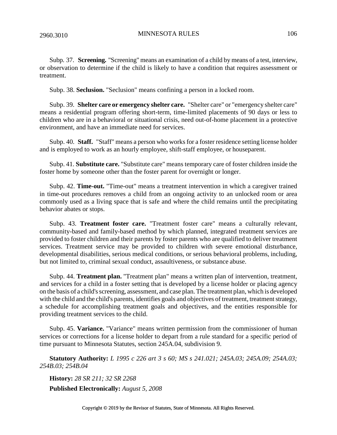2960.3010 MINNESOTA RULES 106

Subp. 37. **Screening.** "Screening" means an examination of a child by means of a test, interview, or observation to determine if the child is likely to have a condition that requires assessment or treatment.

Subp. 38. **Seclusion.** "Seclusion" means confining a person in a locked room.

Subp. 39. **Shelter care or emergency shelter care.** "Shelter care" or "emergency shelter care" means a residential program offering short-term, time-limited placements of 90 days or less to children who are in a behavioral or situational crisis, need out-of-home placement in a protective environment, and have an immediate need for services.

Subp. 40. **Staff.** "Staff" means a person who works for a foster residence setting license holder and is employed to work as an hourly employee, shift-staff employee, or houseparent.

Subp. 41. **Substitute care.** "Substitute care" means temporary care of foster children inside the foster home by someone other than the foster parent for overnight or longer.

Subp. 42. **Time-out.** "Time-out" means a treatment intervention in which a caregiver trained in time-out procedures removes a child from an ongoing activity to an unlocked room or area commonly used as a living space that is safe and where the child remains until the precipitating behavior abates or stops.

Subp. 43. **Treatment foster care.** "Treatment foster care" means a culturally relevant, community-based and family-based method by which planned, integrated treatment services are provided to foster children and their parents by foster parents who are qualified to deliver treatment services. Treatment service may be provided to children with severe emotional disturbance, developmental disabilities, serious medical conditions, or serious behavioral problems, including, but not limited to, criminal sexual conduct, assaultiveness, or substance abuse.

Subp. 44. **Treatment plan.** "Treatment plan" means a written plan of intervention, treatment, and services for a child in a foster setting that is developed by a license holder or placing agency on the basis of a child's screening, assessment, and case plan. The treatment plan, which is developed with the child and the child's parents, identifies goals and objectives of treatment, treatment strategy, a schedule for accomplishing treatment goals and objectives, and the entities responsible for providing treatment services to the child.

Subp. 45. **Variance.** "Variance" means written permission from the commissioner of human services or corrections for a license holder to depart from a rule standard for a specific period of time pursuant to Minnesota Statutes, section 245A.04, subdivision 9.

**Statutory Authority:** *L 1995 c 226 art 3 s 60; MS s 241.021; 245A.03; 245A.09; 254A.03; 254B.03; 254B.04*

**History:** *28 SR 211; 32 SR 2268*

**Published Electronically:** *August 5, 2008*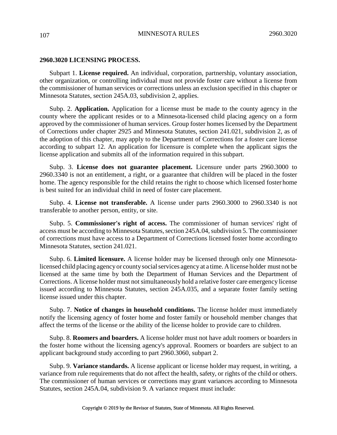#### **2960.3020 LICENSING PROCESS.**

Subpart 1. **License required.** An individual, corporation, partnership, voluntary association, other organization, or controlling individual must not provide foster care without a license from the commissioner of human services or corrections unless an exclusion specified in this chapter or Minnesota Statutes, section 245A.03, subdivision 2, applies.

Subp. 2. **Application.** Application for a license must be made to the county agency in the county where the applicant resides or to a Minnesota-licensed child placing agency on a form approved by the commissioner of human services. Group foster homes licensed by the Department of Corrections under chapter 2925 and Minnesota Statutes, section 241.021, subdivision 2, as of the adoption of this chapter, may apply to the Department of Corrections for a foster care license according to subpart 12. An application for licensure is complete when the applicant signs the license application and submits all of the information required in this subpart.

Subp. 3. **License does not guarantee placement.** Licensure under parts 2960.3000 to 2960.3340 is not an entitlement, a right, or a guarantee that children will be placed in the foster home. The agency responsible for the child retains the right to choose which licensed foster home is best suited for an individual child in need of foster care placement.

Subp. 4. **License not transferable.** A license under parts 2960.3000 to 2960.3340 is not transferable to another person, entity, or site.

Subp. 5. **Commissioner's right of access.** The commissioner of human services' right of access must be according to Minnesota Statutes, section 245A.04, subdivision 5. The commissioner of corrections must have access to a Department of Corrections licensed foster home accordingto Minnesota Statutes, section 241.021.

Subp. 6. **Limited licensure.** A license holder may be licensed through only one Minnesotalicensed child placing agency or county social services agency at a time. A license holder must not be licensed at the same time by both the Department of Human Services and the Department of Corrections. A license holder must not simultaneously hold a relative foster care emergency license issued according to Minnesota Statutes, section 245A.035, and a separate foster family setting license issued under this chapter.

Subp. 7. **Notice of changes in household conditions.** The license holder must immediately notify the licensing agency of foster home and foster family or household member changes that affect the terms of the license or the ability of the license holder to provide care to children.

Subp. 8. **Roomers and boarders.** A license holder must not have adult roomers or boarders in the foster home without the licensing agency's approval. Roomers or boarders are subject to an applicant background study according to part 2960.3060, subpart 2.

Subp. 9. **Variance standards.** A license applicant or license holder may request, in writing, a variance from rule requirements that do not affect the health, safety, or rights of the child or others. The commissioner of human services or corrections may grant variances according to Minnesota Statutes, section 245A.04, subdivision 9. A variance request must include: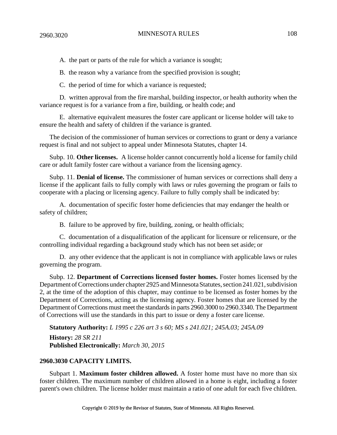2960.3020 MINNESOTA RULES 108

A. the part or parts of the rule for which a variance is sought;

B. the reason why a variance from the specified provision is sought;

C. the period of time for which a variance is requested;

D. written approval from the fire marshal, building inspector, or health authority when the variance request is for a variance from a fire, building, or health code; and

E. alternative equivalent measures the foster care applicant or license holder will take to ensure the health and safety of children if the variance is granted.

The decision of the commissioner of human services or corrections to grant or deny a variance request is final and not subject to appeal under Minnesota Statutes, chapter 14.

Subp. 10. **Other licenses.** A license holder cannot concurrently hold a license for family child care or adult family foster care without a variance from the licensing agency.

Subp. 11. **Denial of license.** The commissioner of human services or corrections shall deny a license if the applicant fails to fully comply with laws or rules governing the program or fails to cooperate with a placing or licensing agency. Failure to fully comply shall be indicated by:

A. documentation of specific foster home deficiencies that may endanger the health or safety of children;

B. failure to be approved by fire, building, zoning, or health officials;

C. documentation of a disqualification of the applicant for licensure or relicensure, or the controlling individual regarding a background study which has not been set aside; or

D. any other evidence that the applicant is not in compliance with applicable laws or rules governing the program.

Subp. 12. **Department of Corrections licensed foster homes.** Foster homes licensed by the Department of Corrections under chapter 2925 and Minnesota Statutes, section 241.021, subdivision 2, at the time of the adoption of this chapter, may continue to be licensed as foster homes by the Department of Corrections, acting as the licensing agency. Foster homes that are licensed by the Department of Corrections must meet the standards in parts 2960.3000 to 2960.3340. The Department of Corrections will use the standards in this part to issue or deny a foster care license.

**Statutory Authority:** *L 1995 c 226 art 3 s 60; MS s 241.021; 245A.03; 245A.09* **History:** *28 SR 211* **Published Electronically:** *March 30, 2015*

#### **2960.3030 CAPACITY LIMITS.**

Subpart 1. **Maximum foster children allowed.** A foster home must have no more than six foster children. The maximum number of children allowed in a home is eight, including a foster parent's own children. The license holder must maintain a ratio of one adult for each five children.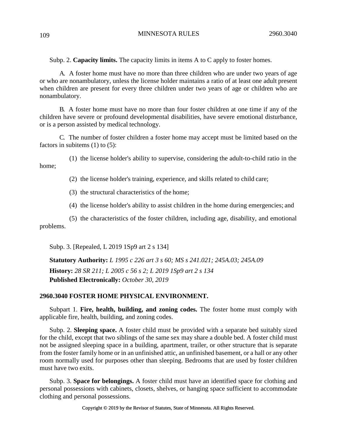Subp. 2. **Capacity limits.** The capacity limits in items A to C apply to foster homes.

A. A foster home must have no more than three children who are under two years of age or who are nonambulatory, unless the license holder maintains a ratio of at least one adult present when children are present for every three children under two years of age or children who are nonambulatory.

B. A foster home must have no more than four foster children at one time if any of the children have severe or profound developmental disabilities, have severe emotional disturbance, or is a person assisted by medical technology.

C. The number of foster children a foster home may accept must be limited based on the factors in subitems  $(1)$  to  $(5)$ :

(1) the license holder's ability to supervise, considering the adult-to-child ratio in the home;

(2) the license holder's training, experience, and skills related to child care;

(3) the structural characteristics of the home;

(4) the license holder's ability to assist children in the home during emergencies; and

problems. (5) the characteristics of the foster children, including age, disability, and emotional

Subp. 3. [Repealed, L 2019 1Sp9 art 2 s 134]

**Statutory Authority:** *L 1995 c 226 art 3 s 60; MS s 241.021; 245A.03; 245A.09* **History:** *28 SR 211; L 2005 c 56 s 2; L 2019 1Sp9 art 2 s 134* **Published Electronically:** *October 30, 2019*

## **2960.3040 FOSTER HOME PHYSICAL ENVIRONMENT.**

Subpart 1. **Fire, health, building, and zoning codes.** The foster home must comply with applicable fire, health, building, and zoning codes.

Subp. 2. **Sleeping space.** A foster child must be provided with a separate bed suitably sized for the child, except that two siblings of the same sex may share a double bed. A foster child must not be assigned sleeping space in a building, apartment, trailer, or other structure that is separate from the foster family home or in an unfinished attic, an unfinished basement, or a hall or any other room normally used for purposes other than sleeping. Bedrooms that are used by foster children must have two exits.

Subp. 3. **Space for belongings.** A foster child must have an identified space for clothing and personal possessions with cabinets, closets, shelves, or hanging space sufficient to accommodate clothing and personal possessions.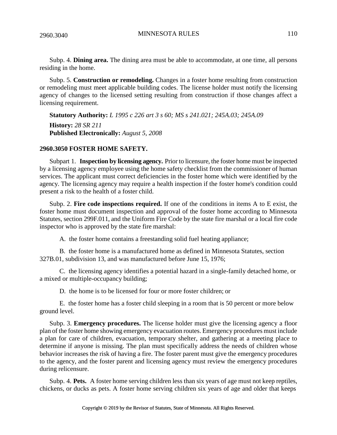2960.3040 MINNESOTA RULES 110

Subp. 4. **Dining area.** The dining area must be able to accommodate, at one time, all persons residing in the home.

Subp. 5. **Construction or remodeling.** Changes in a foster home resulting from construction or remodeling must meet applicable building codes. The license holder must notify the licensing agency of changes to the licensed setting resulting from construction if those changes affect a licensing requirement.

**Statutory Authority:** *L 1995 c 226 art 3 s 60; MS s 241.021; 245A.03; 245A.09* **History:** *28 SR 211* **Published Electronically:** *August 5, 2008*

#### **2960.3050 FOSTER HOME SAFETY.**

Subpart 1. **Inspection by licensing agency.** Prior to licensure, the foster home must be inspected by a licensing agency employee using the home safety checklist from the commissioner of human services. The applicant must correct deficiencies in the foster home which were identified by the agency. The licensing agency may require a health inspection if the foster home's condition could present a risk to the health of a foster child.

Subp. 2. **Fire code inspections required.** If one of the conditions in items A to E exist, the foster home must document inspection and approval of the foster home according to Minnesota Statutes, section 299F.011, and the Uniform Fire Code by the state fire marshal or a local fire code inspector who is approved by the state fire marshal:

A. the foster home contains a freestanding solid fuel heating appliance;

B. the foster home is a manufactured home as defined in Minnesota Statutes, section 327B.01, subdivision 13, and was manufactured before June 15, 1976;

C. the licensing agency identifies a potential hazard in a single-family detached home, or a mixed or multiple-occupancy building;

D. the home is to be licensed for four or more foster children; or

E. the foster home has a foster child sleeping in a room that is 50 percent or more below ground level.

Subp. 3. **Emergency procedures.** The license holder must give the licensing agency a floor plan of the foster home showing emergency evacuation routes. Emergency procedures must include a plan for care of children, evacuation, temporary shelter, and gathering at a meeting place to determine if anyone is missing. The plan must specifically address the needs of children whose behavior increases the risk of having a fire. The foster parent must give the emergency procedures to the agency, and the foster parent and licensing agency must review the emergency procedures during relicensure.

Subp. 4. **Pets.** A foster home serving children less than six years of age must not keep reptiles, chickens, or ducks as pets. A foster home serving children six years of age and older that keeps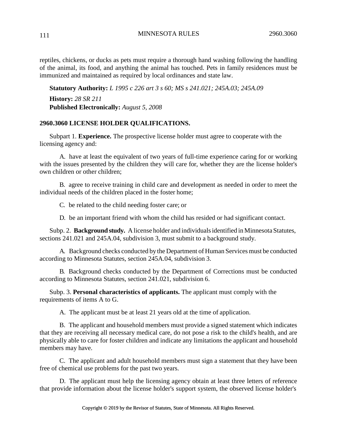reptiles, chickens, or ducks as pets must require a thorough hand washing following the handling of the animal, its food, and anything the animal has touched. Pets in family residences must be immunized and maintained as required by local ordinances and state law.

**Statutory Authority:** *L 1995 c 226 art 3 s 60; MS s 241.021; 245A.03; 245A.09*

**History:** *28 SR 211* **Published Electronically:** *August 5, 2008*

## **2960.3060 LICENSE HOLDER QUALIFICATIONS.**

Subpart 1. **Experience.** The prospective license holder must agree to cooperate with the licensing agency and:

A. have at least the equivalent of two years of full-time experience caring for or working with the issues presented by the children they will care for, whether they are the license holder's own children or other children;

B. agree to receive training in child care and development as needed in order to meet the individual needs of the children placed in the foster home;

C. be related to the child needing foster care; or

D. be an important friend with whom the child has resided or had significant contact.

Subp. 2. **Background study.** A license holder and individualsidentified in Minnesota Statutes, sections 241.021 and 245A.04, subdivision 3, must submit to a background study.

A. Background checks conducted by the Department of Human Services must be conducted according to Minnesota Statutes, section 245A.04, subdivision 3.

B. Background checks conducted by the Department of Corrections must be conducted according to Minnesota Statutes, section 241.021, subdivision 6.

Subp. 3. **Personal characteristics of applicants.** The applicant must comply with the requirements of items A to G.

A. The applicant must be at least 21 years old at the time of application.

B. The applicant and household members must provide a signed statement which indicates that they are receiving all necessary medical care, do not pose a risk to the child's health, and are physically able to care for foster children and indicate any limitations the applicant and household members may have.

C. The applicant and adult household members must sign a statement that they have been free of chemical use problems for the past two years.

D. The applicant must help the licensing agency obtain at least three letters of reference that provide information about the license holder's support system, the observed license holder's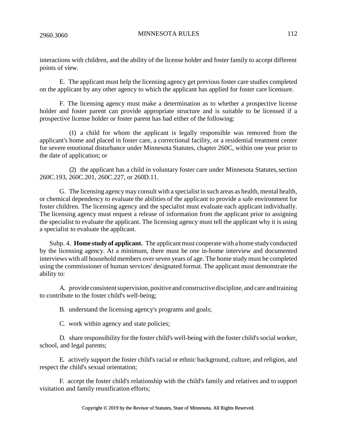#### 2960.3060 MINNESOTA RULES 112

interactions with children, and the ability of the license holder and foster family to accept different points of view.

E. The applicant must help the licensing agency get previous foster care studies completed on the applicant by any other agency to which the applicant has applied for foster care licensure.

F. The licensing agency must make a determination as to whether a prospective license holder and foster parent can provide appropriate structure and is suitable to be licensed if a prospective license holder or foster parent has had either of the following:

(1) a child for whom the applicant is legally responsible was removed from the applicant's home and placed in foster care, a correctional facility, or a residential treatment center for severe emotional disturbance under Minnesota Statutes, chapter 260C, within one year prior to the date of application; or

(2) the applicant has a child in voluntary foster care under Minnesota Statutes,section 260C.193, 260C.201, 260C.227, or 260D.11.

G. The licensing agencymay consult with a specialist in such areas as health, mental health, or chemical dependency to evaluate the abilities of the applicant to provide a safe environment for foster children. The licensing agency and the specialist must evaluate each applicant individually. The licensing agency must request a release of information from the applicant prior to assigning the specialist to evaluate the applicant. The licensing agency must tell the applicant why it is using a specialist to evaluate the applicant.

Subp. 4. **Home study of applicant.** The applicant must cooperate with a home study conducted by the licensing agency. At a minimum, there must be one in-home interview and documented interviews with all household members overseven years of age. The home study must be completed using the commissioner of human services' designated format. The applicant must demonstrate the ability to:

A. provide consistent supervision, positive and constructive discipline, and care and training to contribute to the foster child's well-being;

B. understand the licensing agency's programs and goals;

C. work within agency and state policies;

D. share responsibility for the foster child's well-being with the foster child's social worker, school, and legal parents;

E. actively support the foster child's racial or ethnic background, culture, and religion, and respect the child's sexual orientation;

F. accept the foster child's relationship with the child's family and relatives and to support visitation and family reunification efforts;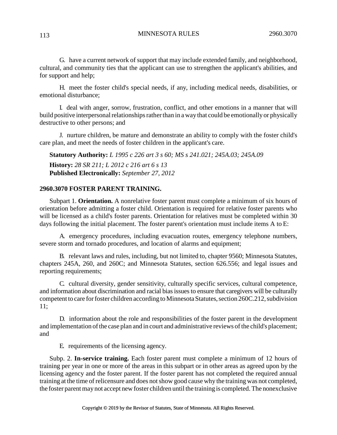113 MINNESOTA RULES 2960.3070

G. have a current network of support that may include extended family, and neighborhood, cultural, and community ties that the applicant can use to strengthen the applicant's abilities, and for support and help;

H. meet the foster child's special needs, if any, including medical needs, disabilities, or emotional disturbance;

I. deal with anger, sorrow, frustration, conflict, and other emotions in a manner that will build positive interpersonal relationships rather than in a way that could be emotionally or physically destructive to other persons; and

J. nurture children, be mature and demonstrate an ability to comply with the foster child's care plan, and meet the needs of foster children in the applicant's care.

**Statutory Authority:** *L 1995 c 226 art 3 s 60; MS s 241.021; 245A.03; 245A.09* **History:** *28 SR 211; L 2012 c 216 art 6 s 13* **Published Electronically:** *September 27, 2012*

## **2960.3070 FOSTER PARENT TRAINING.**

Subpart 1. **Orientation.** A nonrelative foster parent must complete a minimum of six hours of orientation before admitting a foster child. Orientation is required for relative foster parents who will be licensed as a child's foster parents. Orientation for relatives must be completed within 30 days following the initial placement. The foster parent's orientation must include items A to E:

A. emergency procedures, including evacuation routes, emergency telephone numbers, severe storm and tornado procedures, and location of alarms and equipment;

B. relevant laws and rules, including, but not limited to, chapter 9560; Minnesota Statutes, chapters 245A, 260, and 260C; and Minnesota Statutes, section 626.556; and legal issues and reporting requirements;

C. cultural diversity, gender sensitivity, culturally specific services, cultural competence, and information about discrimination and racial biasissuesto ensure that caregivers will be culturally competent to care for foster children according to Minnesota Statutes, section 260C.212, subdivision 11;

D. information about the role and responsibilities of the foster parent in the development and implementation of the case plan and in court and administrative reviews of the child's placement; and

E. requirements of the licensing agency.

Subp. 2. **In-service training.** Each foster parent must complete a minimum of 12 hours of training per year in one or more of the areas in this subpart or in other areas as agreed upon by the licensing agency and the foster parent. If the foster parent has not completed the required annual training at the time of relicensure and does notshow good cause why the training was not completed, the foster parent may not accept new foster children until the training is completed. The nonexclusive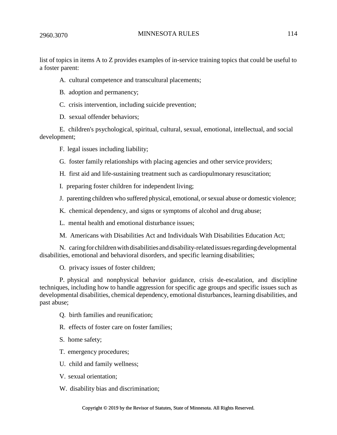## 2960.3070 MINNESOTA RULES 114

list of topics in items A to Z provides examples of in-service training topics that could be useful to a foster parent:

- A. cultural competence and transcultural placements;
- B. adoption and permanency;
- C. crisis intervention, including suicide prevention;
- D. sexual offender behaviors;

E. children's psychological, spiritual, cultural, sexual, emotional, intellectual, and social development;

F. legal issues including liability;

- G. foster family relationships with placing agencies and other service providers;
- H. first aid and life-sustaining treatment such as cardiopulmonary resuscitation;
- I. preparing foster children for independent living;
- J. parenting children who suffered physical, emotional, orsexual abuse or domestic violence;
- K. chemical dependency, and signs or symptoms of alcohol and drug abuse;
- L. mental health and emotional disturbance issues;
- M. Americans with Disabilities Act and Individuals With Disabilities Education Act;

N. caring for children with disabilities and disability-related issues regarding developmental disabilities, emotional and behavioral disorders, and specific learning disabilities;

O. privacy issues of foster children;

P. physical and nonphysical behavior guidance, crisis de-escalation, and discipline techniques, including how to handle aggression for specific age groups and specific issues such as developmental disabilities, chemical dependency, emotional disturbances, learning disabilities, and past abuse;

- Q. birth families and reunification;
- R. effects of foster care on foster families;
- S. home safety;
- T. emergency procedures;
- U. child and family wellness;
- V. sexual orientation;
- W. disability bias and discrimination;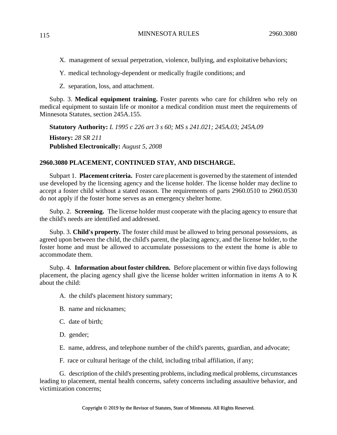- X. management of sexual perpetration, violence, bullying, and exploitative behaviors;
- Y. medical technology-dependent or medically fragile conditions; and
- Z. separation, loss, and attachment.

Subp. 3. **Medical equipment training.** Foster parents who care for children who rely on medical equipment to sustain life or monitor a medical condition must meet the requirements of Minnesota Statutes, section 245A.155.

**Statutory Authority:** *L 1995 c 226 art 3 s 60; MS s 241.021; 245A.03; 245A.09* **History:** *28 SR 211* **Published Electronically:** *August 5, 2008*

## **2960.3080 PLACEMENT, CONTINUED STAY, AND DISCHARGE.**

Subpart 1. **Placement criteria.** Foster care placement is governed by the statement of intended use developed by the licensing agency and the license holder. The license holder may decline to accept a foster child without a stated reason. The requirements of parts 2960.0510 to 2960.0530 do not apply if the foster home serves as an emergency shelter home.

Subp. 2. **Screening.** The license holder must cooperate with the placing agency to ensure that the child's needs are identified and addressed.

Subp. 3. **Child's property.** The foster child must be allowed to bring personal possessions, as agreed upon between the child, the child's parent, the placing agency, and the license holder, to the foster home and must be allowed to accumulate possessions to the extent the home is able to accommodate them.

Subp. 4. **Information about foster children.** Before placement or within five days following placement, the placing agency shall give the license holder written information in items A to K about the child:

- A. the child's placement history summary;
- B. name and nicknames;
- C. date of birth;
- D. gender;
- E. name, address, and telephone number of the child's parents, guardian, and advocate;
- F. race or cultural heritage of the child, including tribal affiliation, if any;

G. description of the child's presenting problems, including medical problems, circumstances leading to placement, mental health concerns, safety concerns including assaultive behavior, and victimization concerns;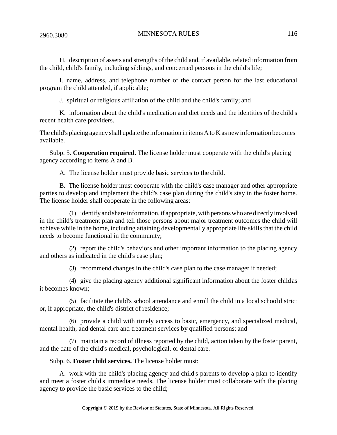2960.3080 MINNESOTA RULES 116

H. description of assets and strengths of the child and, if available, related information from the child, child's family, including siblings, and concerned persons in the child's life;

I. name, address, and telephone number of the contact person for the last educational program the child attended, if applicable;

J. spiritual or religious affiliation of the child and the child's family; and

K. information about the child's medication and diet needs and the identities of the child's recent health care providers.

The child's placing agency shall update the information in items A to K as new information becomes available.

Subp. 5. **Cooperation required.** The license holder must cooperate with the child's placing agency according to items A and B.

A. The license holder must provide basic services to the child.

B. The license holder must cooperate with the child's case manager and other appropriate parties to develop and implement the child's case plan during the child's stay in the foster home. The license holder shall cooperate in the following areas:

(1) identifyand share information, if appropriate,with personswho are directlyinvolved in the child's treatment plan and tell those persons about major treatment outcomes the child will achieve while in the home, including attaining developmentally appropriate life skills that the child needs to become functional in the community;

(2) report the child's behaviors and other important information to the placing agency and others as indicated in the child's case plan;

(3) recommend changes in the child's case plan to the case manager if needed;

(4) give the placing agency additional significant information about the foster childas it becomes known;

(5) facilitate the child's school attendance and enroll the child in a local schooldistrict or, if appropriate, the child's district of residence;

(6) provide a child with timely access to basic, emergency, and specialized medical, mental health, and dental care and treatment services by qualified persons; and

(7) maintain a record of illness reported by the child, action taken by the foster parent, and the date of the child's medical, psychological, or dental care.

Subp. 6. **Foster child services.** The license holder must:

A. work with the child's placing agency and child's parents to develop a plan to identify and meet a foster child's immediate needs. The license holder must collaborate with the placing agency to provide the basic services to the child;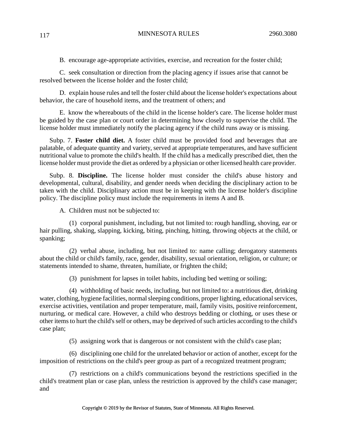B. encourage age-appropriate activities, exercise, and recreation for the foster child;

C. seek consultation or direction from the placing agency if issues arise that cannot be resolved between the license holder and the foster child;

D. explain house rules and tell the foster child about the license holder's expectations about behavior, the care of household items, and the treatment of others; and

E. know the whereabouts of the child in the license holder's care. The license holder must be guided by the case plan or court order in determining how closely to supervise the child. The license holder must immediately notify the placing agency if the child runs away or is missing.

Subp. 7. **Foster child diet.** A foster child must be provided food and beverages that are palatable, of adequate quantity and variety, served at appropriate temperatures, and have sufficient nutritional value to promote the child's health. If the child has a medically prescribed diet, then the license holder must provide the diet as ordered by a physician or other licensed health care provider.

Subp. 8. **Discipline.** The license holder must consider the child's abuse history and developmental, cultural, disability, and gender needs when deciding the disciplinary action to be taken with the child. Disciplinary action must be in keeping with the license holder's discipline policy. The discipline policy must include the requirements in items A and B.

A. Children must not be subjected to:

(1) corporal punishment, including, but not limited to: rough handling, shoving, ear or hair pulling, shaking, slapping, kicking, biting, pinching, hitting, throwing objects at the child, or spanking;

(2) verbal abuse, including, but not limited to: name calling; derogatory statements about the child or child's family, race, gender, disability, sexual orientation, religion, or culture; or statements intended to shame, threaten, humiliate, or frighten the child;

(3) punishment for lapses in toilet habits, including bed wetting or soiling;

(4) withholding of basic needs, including, but not limited to: a nutritious diet, drinking water, clothing, hygiene facilities, normal sleeping conditions, proper lighting, educational services, exercise activities, ventilation and proper temperature, mail, family visits, positive reinforcement, nurturing, or medical care. However, a child who destroys bedding or clothing, or uses these or other items to hurt the child's self or others, may be deprived of such articles according to the child's case plan;

(5) assigning work that is dangerous or not consistent with the child's case plan;

(6) disciplining one child for the unrelated behavior or action of another, except for the imposition of restrictions on the child's peer group as part of a recognized treatment program;

(7) restrictions on a child's communications beyond the restrictions specified in the child's treatment plan or case plan, unless the restriction is approved by the child's case manager; and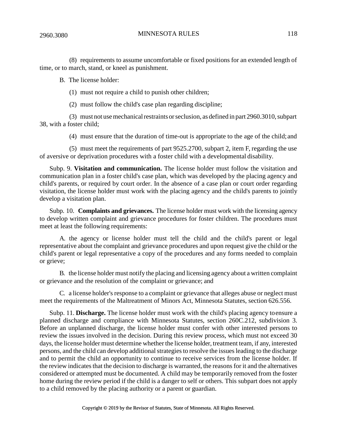2960.3080 MINNESOTA RULES 118

(8) requirements to assume uncomfortable or fixed positions for an extended length of time, or to march, stand, or kneel as punishment.

B. The license holder:

(1) must not require a child to punish other children;

(2) must follow the child's case plan regarding discipline;

 $(3)$  must not use mechanical restraints or seclusion, as defined in part 2960.3010, subpart 38, with a foster child;

(4) must ensure that the duration of time-out is appropriate to the age of the child;and

(5) must meet the requirements of part 9525.2700, subpart 2, item F, regarding the use of aversive or deprivation procedures with a foster child with a developmental disability.

Subp. 9. **Visitation and communication.** The license holder must follow the visitation and communication plan in a foster child's case plan, which was developed by the placing agency and child's parents, or required by court order. In the absence of a case plan or court order regarding visitation, the license holder must work with the placing agency and the child's parents to jointly develop a visitation plan.

Subp. 10. **Complaints and grievances.** The license holder must work with the licensing agency to develop written complaint and grievance procedures for foster children. The procedures must meet at least the following requirements:

A. the agency or license holder must tell the child and the child's parent or legal representative about the complaint and grievance procedures and upon request give the child or the child's parent or legal representative a copy of the procedures and any forms needed to complain or grieve;

B. the license holder must notify the placing and licensing agency about a written complaint or grievance and the resolution of the complaint or grievance; and

C. a license holder's response to a complaint or grievance that alleges abuse or neglect must meet the requirements of the Maltreatment of Minors Act, Minnesota Statutes, section 626.556.

Subp. 11. **Discharge.** The license holder must work with the child's placing agency toensure a planned discharge and compliance with Minnesota Statutes, section 260C.212, subdivision 3. Before an unplanned discharge, the license holder must confer with other interested persons to review the issues involved in the decision. During this review process, which must not exceed 30 days, the license holder must determine whether the license holder, treatment team, if any, interested persons, and the child can develop additional strategies to resolve the issues leading to the discharge and to permit the child an opportunity to continue to receive services from the license holder. If the review indicates that the decision to discharge is warranted, the reasons for it and the alternatives considered or attempted must be documented. A child may be temporarily removed from the foster home during the review period if the child is a danger to self or others. This subpart does not apply to a child removed by the placing authority or a parent or guardian.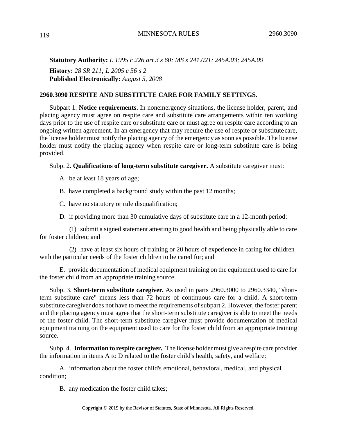**Statutory Authority:** *L 1995 c 226 art 3 s 60; MS s 241.021; 245A.03; 245A.09* **History:** *28 SR 211; L 2005 c 56 s 2* **Published Electronically:** *August 5, 2008*

#### **2960.3090 RESPITE AND SUBSTITUTE CARE FOR FAMILY SETTINGS.**

Subpart 1. **Notice requirements.** In nonemergency situations, the license holder, parent, and placing agency must agree on respite care and substitute care arrangements within ten working days prior to the use of respite care or substitute care or must agree on respite care according to an ongoing written agreement. In an emergency that may require the use of respite or substitutecare, the license holder must notify the placing agency of the emergency as soon as possible. The license holder must notify the placing agency when respite care or long-term substitute care is being provided.

Subp. 2. **Qualifications of long-term substitute caregiver.** A substitute caregiver must:

A. be at least 18 years of age;

B. have completed a background study within the past 12 months;

C. have no statutory or rule disqualification;

D. if providing more than 30 cumulative days of substitute care in a 12-month period:

(1) submit a signed statement attesting to good health and being physically able to care for foster children; and

(2) have at least six hours of training or 20 hours of experience in caring for children with the particular needs of the foster children to be cared for; and

E. provide documentation of medical equipment training on the equipment used to care for the foster child from an appropriate training source.

Subp. 3. **Short-term substitute caregiver.** As used in parts 2960.3000 to 2960.3340, "shortterm substitute care" means less than 72 hours of continuous care for a child. A short-term substitute caregiver does not have to meet the requirements of subpart 2. However, the foster parent and the placing agency must agree that the short-term substitute caregiver is able to meet the needs of the foster child. The short-term substitute caregiver must provide documentation of medical equipment training on the equipment used to care for the foster child from an appropriate training source.

Subp. 4. **Information to respite caregiver.** The license holder must give a respite care provider the information in items A to D related to the foster child's health, safety, and welfare:

A. information about the foster child's emotional, behavioral, medical, and physical condition;

B. any medication the foster child takes;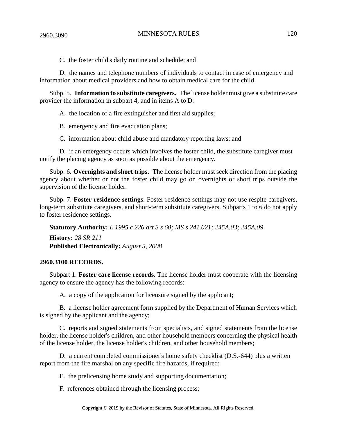C. the foster child's daily routine and schedule; and

D. the names and telephone numbers of individuals to contact in case of emergency and information about medical providers and how to obtain medical care for the child.

Subp. 5. **Information to substitute caregivers.** The license holder must give a substitute care provider the information in subpart 4, and in items A to D:

A. the location of a fire extinguisher and first aid supplies;

B. emergency and fire evacuation plans;

C. information about child abuse and mandatory reporting laws; and

D. if an emergency occurs which involves the foster child, the substitute caregiver must notify the placing agency as soon as possible about the emergency.

Subp. 6. **Overnights and short trips.** The license holder must seek direction from the placing agency about whether or not the foster child may go on overnights or short trips outside the supervision of the license holder.

Subp. 7. **Foster residence settings.** Foster residence settings may not use respite caregivers, long-term substitute caregivers, and short-term substitute caregivers. Subparts 1 to 6 do not apply to foster residence settings.

**Statutory Authority:** *L 1995 c 226 art 3 s 60; MS s 241.021; 245A.03; 245A.09* **History:** *28 SR 211* **Published Electronically:** *August 5, 2008*

#### **2960.3100 RECORDS.**

Subpart 1. **Foster care license records.** The license holder must cooperate with the licensing agency to ensure the agency has the following records:

A. a copy of the application for licensure signed by the applicant;

B. a license holder agreement form supplied by the Department of Human Services which is signed by the applicant and the agency;

C. reports and signed statements from specialists, and signed statements from the license holder, the license holder's children, and other household members concerning the physical health of the license holder, the license holder's children, and other household members;

D. a current completed commissioner's home safety checklist (D.S.-644) plus a written report from the fire marshal on any specific fire hazards, if required;

E. the prelicensing home study and supporting documentation;

F. references obtained through the licensing process;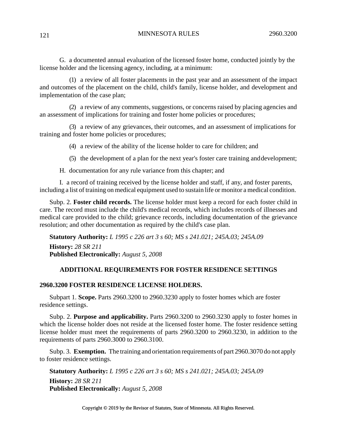G. a documented annual evaluation of the licensed foster home, conducted jointly by the license holder and the licensing agency, including, at a minimum:

(1) a review of all foster placements in the past year and an assessment of the impact and outcomes of the placement on the child, child's family, license holder, and development and implementation of the case plan;

(2) a review of any comments, suggestions, or concerns raised by placing agencies and an assessment of implications for training and foster home policies or procedures;

(3) a review of any grievances, their outcomes, and an assessment of implications for training and foster home policies or procedures;

(4) a review of the ability of the license holder to care for children; and

(5) the development of a plan for the next year's foster care training anddevelopment;

H. documentation for any rule variance from this chapter; and

I. a record of training received by the license holder and staff, if any, and foster parents, including a list of training on medical equipment used to sustain life or monitor a medical condition.

Subp. 2. **Foster child records.** The license holder must keep a record for each foster child in care. The record must include the child's medical records, which includes records of illnesses and medical care provided to the child; grievance records, including documentation of the grievance resolution; and other documentation as required by the child's case plan.

**Statutory Authority:** *L 1995 c 226 art 3 s 60; MS s 241.021; 245A.03; 245A.09* **History:** *28 SR 211* **Published Electronically:** *August 5, 2008*

#### **ADDITIONAL REQUIREMENTS FOR FOSTER RESIDENCE SETTINGS**

#### **2960.3200 FOSTER RESIDENCE LICENSE HOLDERS.**

Subpart 1. **Scope.** Parts 2960.3200 to 2960.3230 apply to foster homes which are foster residence settings.

Subp. 2. **Purpose and applicability.** Parts 2960.3200 to 2960.3230 apply to foster homes in which the license holder does not reside at the licensed foster home. The foster residence setting license holder must meet the requirements of parts 2960.3200 to 2960.3230, in addition to the requirements of parts 2960.3000 to 2960.3100.

Subp. 3. **Exemption.** The training and orientation requirements of part 2960.3070 do not apply to foster residence settings.

**Statutory Authority:** *L 1995 c 226 art 3 s 60; MS s 241.021; 245A.03; 245A.09* **History:** *28 SR 211* **Published Electronically:** *August 5, 2008*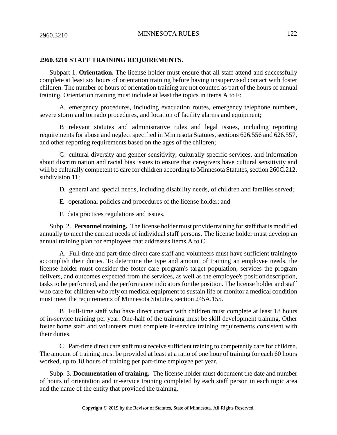## **2960.3210 STAFF TRAINING REQUIREMENTS.**

Subpart 1. **Orientation.** The license holder must ensure that all staff attend and successfully complete at least six hours of orientation training before having unsupervised contact with foster children. The number of hours of orientation training are not counted as part of the hours of annual training. Orientation training must include at least the topics in items A to F:

A. emergency procedures, including evacuation routes, emergency telephone numbers, severe storm and tornado procedures, and location of facility alarms and equipment;

B. relevant statutes and administrative rules and legal issues, including reporting requirements for abuse and neglect specified in Minnesota Statutes, sections 626.556 and 626.557, and other reporting requirements based on the ages of the children;

C. cultural diversity and gender sensitivity, culturally specific services, and information about discrimination and racial bias issues to ensure that caregivers have cultural sensitivity and will be culturally competent to care for children according to Minnesota Statutes, section 260C.212, subdivision 11;

- D. general and special needs, including disability needs, of children and families served;
- E. operational policies and procedures of the license holder; and
- F. data practices regulations and issues.

Subp. 2. **Personnel training.** The license holder must provide training for staff that is modified annually to meet the current needs of individual staff persons. The license holder must develop an annual training plan for employees that addresses items A to C.

A. Full-time and part-time direct care staff and volunteers must have sufficient trainingto accomplish their duties. To determine the type and amount of training an employee needs, the license holder must consider the foster care program's target population, services the program delivers, and outcomes expected from the services, as well as the employee's positiondescription, tasks to be performed, and the performance indicators for the position. The license holder and staff who care for children who rely on medical equipment to sustain life or monitor a medical condition must meet the requirements of Minnesota Statutes, section 245A.155.

B. Full-time staff who have direct contact with children must complete at least 18 hours of in-service training per year. One-half of the training must be skill development training. Other foster home staff and volunteers must complete in-service training requirements consistent with their duties.

C. Part-time direct care staff must receive sufficient training to competently care for children. The amount of training must be provided at least at a ratio of one hour of training for each 60 hours worked, up to 18 hours of training per part-time employee per year.

Subp. 3. **Documentation of training.** The license holder must document the date and number of hours of orientation and in-service training completed by each staff person in each topic area and the name of the entity that provided the training.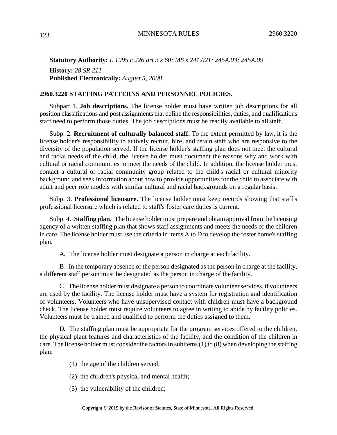**Statutory Authority:** *L 1995 c 226 art 3 s 60; MS s 241.021; 245A.03; 245A.09* **History:** *28 SR 211* **Published Electronically:** *August 5, 2008*

#### **2960.3220 STAFFING PATTERNS AND PERSONNEL POLICIES.**

Subpart 1. **Job descriptions.** The license holder must have written job descriptions for all position classifications and post assignments that define the responsibilities, duties, and qualifications staff need to perform those duties. The job descriptions must be readily available to allstaff.

Subp. 2. **Recruitment of culturally balanced staff.** To the extent permitted by law, it is the license holder's responsibility to actively recruit, hire, and retain staff who are responsive to the diversity of the population served. If the license holder's staffing plan does not meet the cultural and racial needs of the child, the license holder must document the reasons why and work with cultural or racial communities to meet the needs of the child. In addition, the license holder must contact a cultural or racial community group related to the child's racial or cultural minority background and seek information about how to provide opportunities for the child to associate with adult and peer role models with similar cultural and racial backgrounds on a regular basis.

Subp. 3. **Professional licensure.** The license holder must keep records showing that staff's professional licensure which is related to staff's foster care duties is current.

Subp. 4. **Staffing plan.** The license holder must prepare and obtain approvalfrom the licensing agency of a written staffing plan that shows staff assignments and meets the needs of the children in care. The license holder must use the criteria in items A to D to develop the foster home's staffing plan.

A. The license holder must designate a person in charge at each facility.

B. In the temporary absence of the person designated as the person in charge at the facility, a different staff person must be designated as the person in charge of the facility.

C. The license holder must designate a person to coordinate volunteer services, if volunteers are used by the facility. The license holder must have a system for registration and identification of volunteers. Volunteers who have unsupervised contact with children must have a background check. The license holder must require volunteers to agree in writing to abide by facility policies. Volunteers must be trained and qualified to perform the duties assigned to them.

D. The staffing plan must be appropriate for the program services offered to the children, the physical plant features and characteristics of the facility, and the condition of the children in care. The license holder must consider the factors in subitems  $(1)$  to  $(8)$  when developing the staffing plan:

- (1) the age of the children served;
- (2) the children's physical and mental health;
- (3) the vulnerability of the children;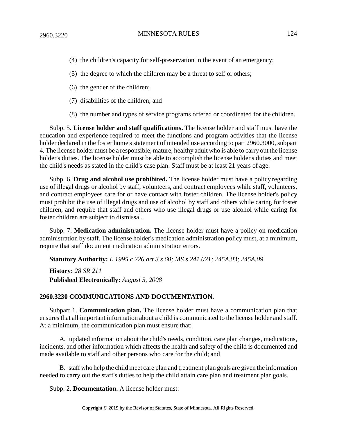- (4) the children's capacity for self-preservation in the event of an emergency;
- (5) the degree to which the children may be a threat to self or others;
- (6) the gender of the children;
- (7) disabilities of the children; and
- (8) the number and types of service programs offered or coordinated for the children.

Subp. 5. **License holder and staff qualifications.** The license holder and staff must have the education and experience required to meet the functions and program activities that the license holder declared in the foster home's statement of intended use according to part 2960.3000, subpart 4. The license holder must be a responsible, mature, healthy adult who is able to carry out the license holder's duties. The license holder must be able to accomplish the license holder's duties and meet the child's needs as stated in the child's case plan. Staff must be at least 21 years of age.

Subp. 6. **Drug and alcohol use prohibited.** The license holder must have a policy regarding use of illegal drugs or alcohol by staff, volunteers, and contract employees while staff, volunteers, and contract employees care for or have contact with foster children. The license holder's policy must prohibit the use of illegal drugs and use of alcohol by staff and others while caring forfoster children, and require that staff and others who use illegal drugs or use alcohol while caring for foster children are subject to dismissal.

Subp. 7. **Medication administration.** The license holder must have a policy on medication administration by staff. The license holder's medication administration policy must, at a minimum, require that staff document medication administration errors.

**Statutory Authority:** *L 1995 c 226 art 3 s 60; MS s 241.021; 245A.03; 245A.09*

**History:** *28 SR 211* **Published Electronically:** *August 5, 2008*

#### **2960.3230 COMMUNICATIONS AND DOCUMENTATION.**

Subpart 1. **Communication plan.** The license holder must have a communication plan that ensures that all important information about a child is communicated to the license holder and staff. At a minimum, the communication plan must ensure that:

A. updated information about the child's needs, condition, care plan changes, medications, incidents, and other information which affects the health and safety of the child is documented and made available to staff and other persons who care for the child; and

B. staff who help the child meet care plan and treatment plan goals are given the information needed to carry out the staff's duties to help the child attain care plan and treatment plan goals.

Subp. 2. **Documentation.** A license holder must: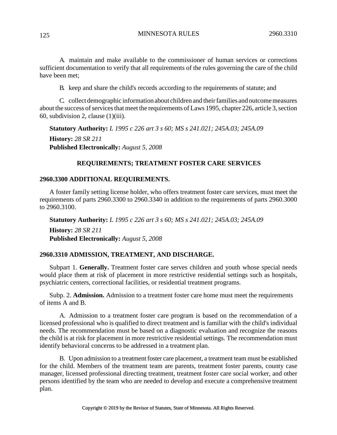A. maintain and make available to the commissioner of human services or corrections sufficient documentation to verify that all requirements of the rules governing the care of the child have been met;

B. keep and share the child's records according to the requirements of statute; and

C. collect demographic information about children and their families and outcome measures about the success of services that meet the requirements of Laws 1995, chapter 226, article 3, section 60, subdivision 2, clause (1)(iii).

**Statutory Authority:** *L 1995 c 226 art 3 s 60; MS s 241.021; 245A.03; 245A.09* **History:** *28 SR 211* **Published Electronically:** *August 5, 2008*

## **REQUIREMENTS; TREATMENT FOSTER CARE SERVICES**

## **2960.3300 ADDITIONAL REQUIREMENTS.**

A foster family setting license holder, who offers treatment foster care services, must meet the requirements of parts 2960.3300 to 2960.3340 in addition to the requirements of parts 2960.3000 to 2960.3100.

**Statutory Authority:** *L 1995 c 226 art 3 s 60; MS s 241.021; 245A.03; 245A.09* **History:** *28 SR 211* **Published Electronically:** *August 5, 2008*

## **2960.3310 ADMISSION, TREATMENT, AND DISCHARGE.**

Subpart 1. **Generally.** Treatment foster care serves children and youth whose special needs would place them at risk of placement in more restrictive residential settings such as hospitals, psychiatric centers, correctional facilities, or residential treatment programs.

Subp. 2. **Admission.** Admission to a treatment foster care home must meet the requirements of items A and B.

A. Admission to a treatment foster care program is based on the recommendation of a licensed professional who is qualified to direct treatment and is familiar with the child's individual needs. The recommendation must be based on a diagnostic evaluation and recognize the reasons the child is at risk for placement in more restrictive residential settings. The recommendation must identify behavioral concerns to be addressed in a treatment plan.

B. Upon admission to a treatment foster care placement, a treatment team must be established for the child. Members of the treatment team are parents, treatment foster parents, county case manager, licensed professional directing treatment, treatment foster care social worker, and other persons identified by the team who are needed to develop and execute a comprehensive treatment plan.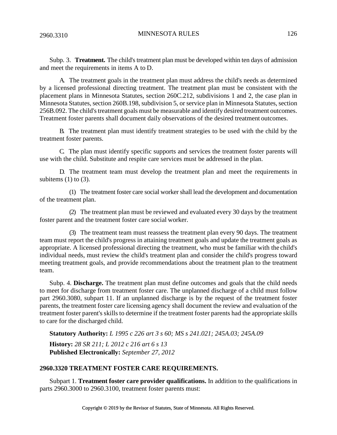Subp. 3. **Treatment.** The child's treatment plan must be developed within ten days of admission and meet the requirements in items A to D.

A. The treatment goals in the treatment plan must address the child's needs as determined by a licensed professional directing treatment. The treatment plan must be consistent with the placement plans in Minnesota Statutes, section 260C.212, subdivisions 1 and 2, the case plan in Minnesota Statutes, section 260B.198, subdivision 5, or service plan in Minnesota Statutes, section 256B.092. The child's treatment goals must be measurable and identify desired treatment outcomes. Treatment foster parents shall document daily observations of the desired treatment outcomes.

B. The treatment plan must identify treatment strategies to be used with the child by the treatment foster parents.

C. The plan must identify specific supports and services the treatment foster parents will use with the child. Substitute and respite care services must be addressed in the plan.

D. The treatment team must develop the treatment plan and meet the requirements in subitems  $(1)$  to  $(3)$ .

(1) The treatment foster care social workershall lead the development and documentation of the treatment plan.

(2) The treatment plan must be reviewed and evaluated every 30 days by the treatment foster parent and the treatment foster care social worker.

(3) The treatment team must reassess the treatment plan every 90 days. The treatment team must report the child's progress in attaining treatment goals and update the treatment goals as appropriate. A licensed professional directing the treatment, who must be familiar with the child's individual needs, must review the child's treatment plan and consider the child's progress toward meeting treatment goals, and provide recommendations about the treatment plan to the treatment team.

Subp. 4. **Discharge.** The treatment plan must define outcomes and goals that the child needs to meet for discharge from treatment foster care. The unplanned discharge of a child must follow part 2960.3080, subpart 11. If an unplanned discharge is by the request of the treatment foster parents, the treatment foster care licensing agency shall document the review and evaluation of the treatment foster parent's skills to determine if the treatment foster parents had the appropriate skills to care for the discharged child.

**Statutory Authority:** *L 1995 c 226 art 3 s 60; MS s 241.021; 245A.03; 245A.09* **History:** *28 SR 211; L 2012 c 216 art 6 s 13* **Published Electronically:** *September 27, 2012*

#### **2960.3320 TREATMENT FOSTER CARE REQUIREMENTS.**

Subpart 1. **Treatment foster care provider qualifications.** In addition to the qualifications in parts 2960.3000 to 2960.3100, treatment foster parents must: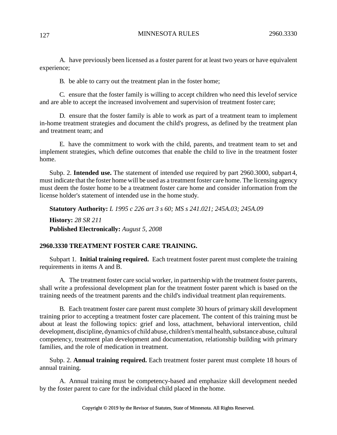A. have previously been licensed as a foster parent for at least two years or have equivalent experience;

B. be able to carry out the treatment plan in the foster home;

C. ensure that the foster family is willing to accept children who need this levelof service and are able to accept the increased involvement and supervision of treatment foster care;

D. ensure that the foster family is able to work as part of a treatment team to implement in-home treatment strategies and document the child's progress, as defined by the treatment plan and treatment team; and

E. have the commitment to work with the child, parents, and treatment team to set and implement strategies, which define outcomes that enable the child to live in the treatment foster home.

Subp. 2. **Intended use.** The statement of intended use required by part 2960.3000, subpart 4, must indicate that the foster home will be used as a treatment foster care home. The licensing agency must deem the foster home to be a treatment foster care home and consider information from the license holder's statement of intended use in the home study.

**Statutory Authority:** *L 1995 c 226 art 3 s 60; MS s 241.021; 245A.03; 245A.09*

**History:** *28 SR 211* **Published Electronically:** *August 5, 2008*

### **2960.3330 TREATMENT FOSTER CARE TRAINING.**

Subpart 1. **Initial training required.** Each treatment foster parent must complete the training requirements in items A and B.

A. The treatment foster care social worker, in partnership with the treatment foster parents, shall write a professional development plan for the treatment foster parent which is based on the training needs of the treatment parents and the child's individual treatment plan requirements.

B. Each treatment foster care parent must complete 30 hours of primary skill development training prior to accepting a treatment foster care placement. The content of this training must be about at least the following topics: grief and loss, attachment, behavioral intervention, child development, discipline, dynamics of child abuse, children's mental health, substance abuse, cultural competency, treatment plan development and documentation, relationship building with primary families, and the role of medication in treatment.

Subp. 2. **Annual training required.** Each treatment foster parent must complete 18 hours of annual training.

A. Annual training must be competency-based and emphasize skill development needed by the foster parent to care for the individual child placed in the home.